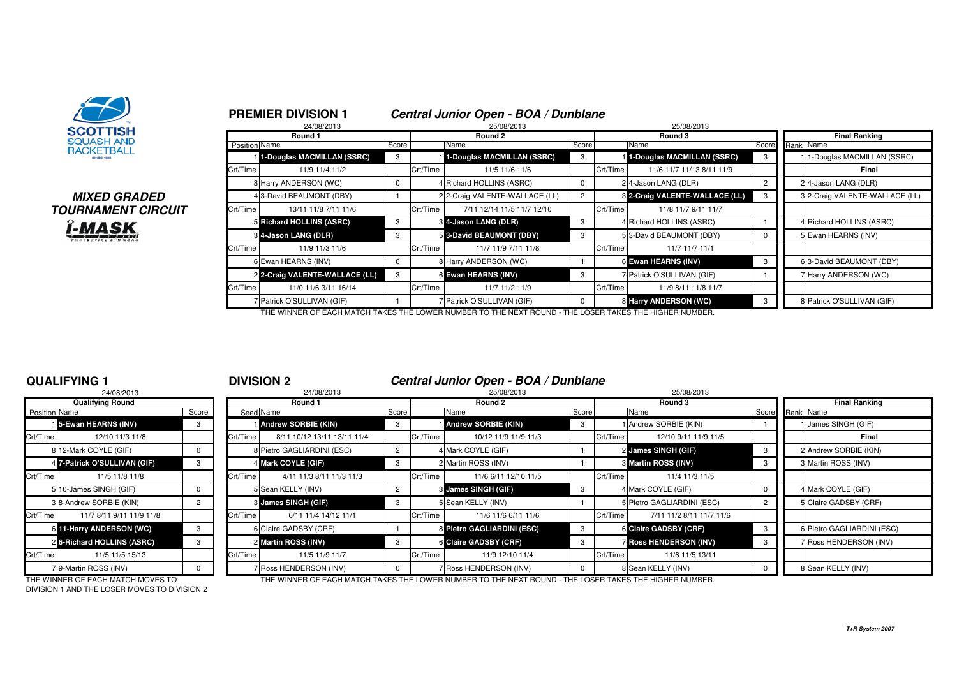

# **MIXED GRADEDTOURNAMENT CIRCUITi-MASK**

|               | <b>PREMIER DIVISION 1</b><br>24/08/2013 |            |          | Central Junior Open - BOA / Dunblane<br>25/08/2013 |          |          |                                |                |                                |
|---------------|-----------------------------------------|------------|----------|----------------------------------------------------|----------|----------|--------------------------------|----------------|--------------------------------|
|               | Round 1                                 |            |          | Round 2                                            |          |          | 25/08/2013<br>Round 3          |                | <b>Final Ranking</b>           |
| Position Name |                                         | Score      |          | Name                                               | Score    |          | Name                           | Score          | Rank Name                      |
|               | 1-Douglas MACMILLAN (SSRC)              | 3          |          | 1-Douglas MACMILLAN (SSRC)                         | 3        |          | 1-Douglas MACMILLAN (SSRC)     | 3              | 1-Douglas MACMILLAN (SSRC)     |
| Crt/Time      | 11/9 11/4 11/2                          |            | Crt/Time | 11/5 11/6 11/6                                     |          | Crt/Time | 11/6 11/7 11/13 8/11 11/9      |                | Final                          |
|               | 8 Harry ANDERSON (WC)                   | 0          |          | 4 Richard HOLLINS (ASRC)                           | 0        |          | 24-Jason LANG (DLR)            | $\overline{c}$ | 24-Jason LANG (DLR)            |
|               | 43-David BEAUMONT (DBY)                 |            |          | 2 2-Craig VALENTE-WALLACE (LL)                     |          |          | 3 2-Craig VALENTE-WALLACE (LL) | 3              | 3 2-Craig VALENTE-WALLACE (LL) |
| Crt/Time      | 13/11 11/8 7/11 11/6                    |            | Crt/Time | 7/11 12/14 11/5 11/7 12/10                         |          | Crt/Time | 11/8 11/7 9/11 11/7            |                |                                |
|               | 5 Richard HOLLINS (ASRC)                | 3          |          | 8 4-Jason LANG (DLR)                               | 3        |          | 4 Richard HOLLINS (ASRC)       |                | 4 Richard HOLLINS (ASRC)       |
|               | 8 4-Jason LANG (DLR)                    | 3          |          | 5 3-David BEAUMONT (DBY)                           | 3        |          | 5 3-David BEAUMONT (DBY)       |                | 5 Ewan HEARNS (INV)            |
| Crt/Time      | 11/9 11/3 11/6                          |            | Crt/Time | 11/7 11/9 7/11 11/8                                |          | Crt/Time | 11/7 11/7 11/1                 |                |                                |
|               | 6 Ewan HEARNS (INV)                     | $^{\rm o}$ |          | 8 Harry ANDERSON (WC)                              |          |          | 6 Ewan HEARNS (INV)            | -3             | 6 3-David BEAUMONT (DBY)       |
|               | 2 2-Craig VALENTE-WALLACE (LL)          | 3          |          | 6 Ewan HEARNS (INV)                                | 3        |          | 7 Patrick O'SULLIVAN (GIF)     |                | 7 Harry ANDERSON (WC)          |
| Crt/Time      | 11/0 11/6 3/11 16/14                    |            | Crt/Time | 11/7 11/2 11/9                                     |          | Crt/Time | 11/9 8/11 11/8 11/7            |                |                                |
|               | Patrick O'SULLIVAN (GIF)                |            |          | <sup>7</sup> Patrick O'SULLIVAN (GIF)              | $\Omega$ |          | 8 Harry ANDERSON (WC)          | -3             | 8 Patrick O'SULLIVAN (GIF)     |

THE WINNER OF EACH MATCH TAKES THE LOWER NUMBER TO THE NEXT ROUND - THE LOSER TAKES THE HIGHER NUMBER.

# **QUALIFYING 1**

|                      | 24/08/2013                   |                |                |
|----------------------|------------------------------|----------------|----------------|
|                      | <b>Qualifying Round</b>      |                |                |
| <b>Position Name</b> |                              | Score          | Seed           |
|                      | 15-Ewan HEARNS (INV)         | 3              |                |
| Crt/Time             | 12/10 11/3 11/8              |                | Crt/Time       |
|                      | 8 12-Mark COYLE (GIF)        | 0              | 8              |
|                      | 4 7-Patrick O'SULLIVAN (GIF) | 3              | 4              |
| Crt/Time             | 11/5 11/8 11/8               |                | Crt/Time       |
|                      | 5 10-James SINGH (GIF)       | O              | 5              |
|                      | 3 8-Andrew SORBIE (KIN)      | $\overline{2}$ | 3              |
| Crt/Time             | 11/7 8/11 9/11 11/9 11/8     |                | Crt/Time       |
| 6                    | 11-Harry ANDERSON (WC)       | 3              | 6              |
|                      | 26-Richard HOLLINS (ASRC)    | 3              | $\overline{2}$ |
| Crt/Time             | 11/5 11/5 15/13              |                | Crt/Time       |
|                      | 79-Martin ROSS (INV)         | U              | 7              |

<sup>1</sup> **DIVISION 2 Central Junior Open - BOA / Dunblane**

|               | 24/08/2013                   |          |          | 24/08/2013                  |       |          | 25/08/2013                 |       |          | 25/08/2013                    |                 |                            |
|---------------|------------------------------|----------|----------|-----------------------------|-------|----------|----------------------------|-------|----------|-------------------------------|-----------------|----------------------------|
|               | <b>Qualifying Round</b>      |          |          | Round 1                     |       |          | Round 2                    |       |          | Round 3                       |                 | <b>Final Ranking</b>       |
| Position Name |                              | Score    |          | Seed Name                   | Score |          | Name                       | Score |          | Name                          | Score Rank Name |                            |
|               | 15-Ewan HEARNS (INV)         |          |          | <b>Andrew SORBIE (KIN)</b>  | -3    |          | <b>Andrew SORBIE (KIN)</b> |       |          | 1 Andrew SORBIE (KIN)         |                 | 1 James SINGH (GIF)        |
| Crt/Time      | 12/10 11/3 11/8              |          | Crt/Time | 8/11 10/12 13/11 13/11 11/4 |       | Crt/Time | 10/12 11/9 11/9 11/3       |       | Crt/Time | 12/10 9/11 11/9 11/5          |                 | Final                      |
|               | 8 12-Mark COYLE (GIF)        |          |          | 8 Pietro GAGLIARDINI (ESC)  |       |          | 4 Mark COYLE (GIF)         |       |          | 2 James SINGH (GIF)           |                 | 2 Andrew SORBIE (KIN)      |
|               | 4 7-Patrick O'SULLIVAN (GIF) | 3        |          | 4 Mark COYLE (GIF)          | 3     |          | 2 Martin ROSS (INV)        |       |          | 3 Martin ROSS (INV)           |                 | 3 Martin ROSS (INV)        |
| Crt/Time      | 11/5 11/8 11/8               |          | Crt/Time | 4/11 11/3 8/11 11/3 11/3    |       | Crt/Time | 11/6 6/11 12/10 11/5       |       | Crt/Time | 11/4 11/3 11/5                |                 |                            |
|               | 5 10-James SINGH (GIF)       |          |          | 5 Sean KELLY (INV)          |       |          | 3 James SINGH (GIF)        |       |          | 4 Mark COYLE (GIF)            |                 | 4 Mark COYLE (GIF)         |
|               | 3 8-Andrew SORBIE (KIN)      |          |          | 3 James SINGH (GIF)         | -3    |          | 5 Sean KELLY (INV)         |       |          | 5 Pietro GAGLIARDINI (ESC)    |                 | 5 Claire GADSBY (CRF)      |
| Crt/Time      | 11/7 8/11 9/11 11/9 11/8     |          | Crt/Time | 6/11 11/4 14/12 11/1        |       | Crt/Time | 11/6 11/6 6/11 11/6        |       | Crt/Time | 7/11 11/2 8/11 11/7 11/6      |                 |                            |
|               | 6 11-Harry ANDERSON (WC)     | 3        |          | 6 Claire GADSBY (CRF)       |       |          | 8 Pietro GAGLIARDINI (ESC) |       |          | 6 Claire GADSBY (CRF)         |                 | 6 Pietro GAGLIARDINI (ESC) |
|               | 2 6-Richard HOLLINS (ASRC)   |          |          | 2 Martin ROSS (INV)         | -3    |          | 6 Claire GADSBY (CRF)      |       |          | <b>7 Ross HENDERSON (INV)</b> |                 | 7 Ross HENDERSON (INV)     |
| Crt/Time      | 11/5 11/5 15/13              |          | Crt/Time | 11/5 11/9 11/7              |       | Crt/Time | 11/9 12/10 11/4            |       | Crt/Time | 11/6 11/5 13/11               |                 |                            |
|               | 79-Martin ROSS (INV)         | $\Omega$ |          | 7 Ross HENDERSON (INV)      |       |          | 7 Ross HENDERSON (INV)     |       |          | 8 Sean KELLY (INV)            |                 | 8 Sean KELLY (INV)         |

DIVISION 1 AND THE LOSER MOVES TO DIVISION 2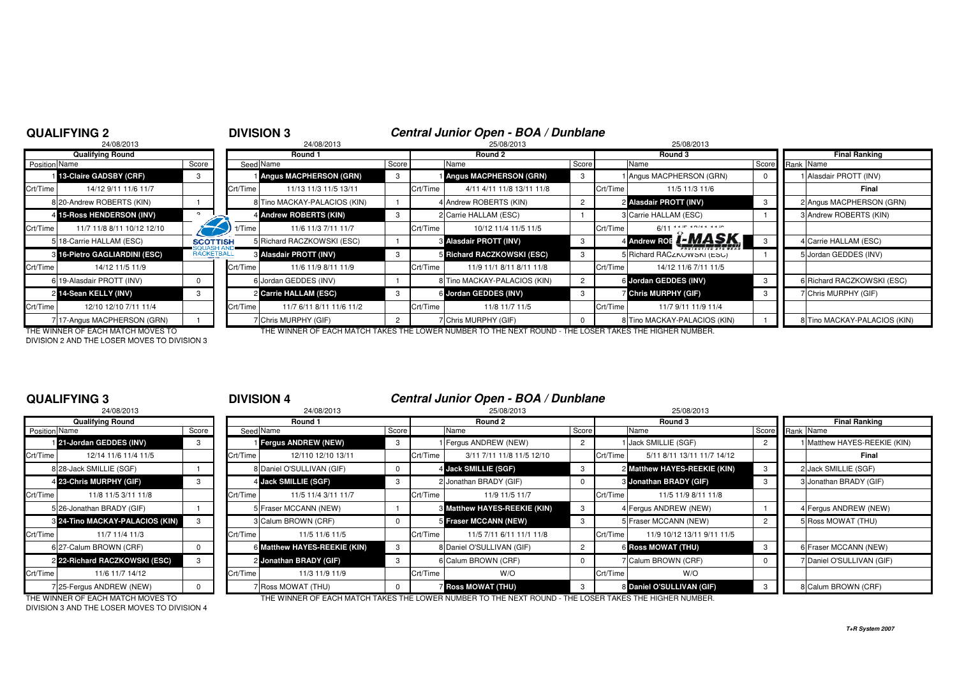|               | <b>QUALIFYING 2</b>                   |                   | <b>DIVISION 3</b> |                               |       |          | Central Junior Open - BOA / Dunblane                                                                        |          |                                               |       |                              |
|---------------|---------------------------------------|-------------------|-------------------|-------------------------------|-------|----------|-------------------------------------------------------------------------------------------------------------|----------|-----------------------------------------------|-------|------------------------------|
|               | 24/08/2013<br><b>Qualifying Round</b> |                   |                   | 24/08/2013<br>Round 1         |       |          | 25/08/2013<br>Round 2                                                                                       |          | 25/08/2013<br>Round 3                         |       | <b>Final Ranking</b>         |
| Position Name |                                       | Score             | Seed Name         |                               | Score |          | Name                                                                                                        | Score    | Name                                          | Score | Rank Name                    |
|               | 13-Claire GADSBY (CRF)                | -3                |                   | <b>Angus MACPHERSON (GRN)</b> |       |          | <b>Angus MACPHERSON (GRN)</b>                                                                               | 3        | I Angus MACPHERSON (GRN)                      |       | 1 Alasdair PROTT (INV)       |
| Crt/Time      | 14/12 9/11 11/6 11/7                  |                   | Crt/Time          | 11/13 11/3 11/5 13/11         |       | Crt/Time | 4/11 4/11 11/8 13/11 11/8                                                                                   |          | Crt/Time<br>11/5 11/3 11/6                    |       | Final                        |
|               | 8 20-Andrew ROBERTS (KIN)             |                   |                   | 8 Tino MACKAY-PALACIOS (KIN)  |       |          | 4 Andrew ROBERTS (KIN)                                                                                      |          | 2 Alasdair PROTT (INV)                        |       | 2 Angus MACPHERSON (GRN)     |
|               | 4 15-Ross HENDERSON (INV)             |                   |                   | 4 Andrew ROBERTS (KIN)        |       |          | 2 Carrie HALLAM (ESC)                                                                                       |          | 3 Carrie HALLAM (ESC)                         |       | 3 Andrew ROBERTS (KIN)       |
| Crt/Time      | 11/7 11/8 8/11 10/12 12/10            |                   | rt/Time           | 11/6 11/3 7/11 11/7           |       | Crt/Time | 10/12 11/4 11/5 11/5                                                                                        |          | $6/11$ <sup>44/7</sup> 40/44 44/0<br>Crt/Time |       |                              |
|               | 5 18-Carrie HALLAM (ESC)              | <b>SCOTTISH</b>   |                   | 5 Richard RACZKOWSKI (ESC)    |       |          | 3 Alasdair PROTT (INV)                                                                                      | 3        | 4 Andrew ROE <b>(-MASK</b>                    |       | 4 Carrie HALLAM (ESC)        |
|               | 3 16-Pietro GAGLIARDINI (ESC)         | <b>RACKETBALL</b> |                   | <b>8 Alasdair PROTT (INV)</b> |       |          | Richard RACZKOWSKI (ESC)                                                                                    | 3        | 5 Richard RACZKOWSKI (ESC)                    |       | 5 Jordan GEDDES (INV)        |
| Crt/Time      | 14/12 11/5 11/9                       |                   | Crt/Time          | 11/6 11/9 8/11 11/9           |       | Crt/Time | 11/9 11/1 8/11 8/11 11/8                                                                                    |          | Crt/Time<br>14/12 11/6 7/11 11/5              |       |                              |
|               | 619-Alasdair PROTT (INV)              |                   |                   | 6 Jordan GEDDES (INV)         |       |          | 8 Tino MACKAY-PALACIOS (KIN)                                                                                | $^{2}$   | 6 Jordan GEDDES (INV)                         |       | 6 Richard RACZKOWSKI (ESC)   |
|               | 2 14-Sean KELLY (INV)                 | 3                 |                   | 2 Carrie HALLAM (ESC)         |       |          | 6 Jordan GEDDES (INV)                                                                                       | 3        | <b>Chris MURPHY (GIF)</b>                     |       | 7 Chris MURPHY (GIF)         |
| Crt/Time      | 12/10 12/10 7/11 11/4                 |                   | Crt/Time          | 11/7 6/11 8/11 11/6 11/2      |       | Crt/Time | 11/8 11/7 11/5                                                                                              |          | Crt/Time<br>11/7 9/11 11/9 11/4               |       |                              |
|               | 717-Angus MACPHERSON (GRN)            |                   |                   | 7 Chris MURPHY (GIF)          | 2     |          | 7 Chris MURPHY (GIF)                                                                                        | $\Omega$ | 8 Tino MACKAY-PALACIOS (KIN)                  |       | 8 Tino MACKAY-PALACIOS (KIN) |
|               | THE WINNER OF EACH MATCH MOVES TO     |                   |                   |                               |       |          | THE WINNER OF EACH MATCH TAKES THE LOWER NI IMRER TO THE NEYT ROLIND . THE LOSER TAKES THE HIGHER NI IMRER. |          |                                               |       |                              |

DIVISION 2 AND THE LOSER MOVES TO DIVISION 3

THE WINNER OF EACH MATCH MOVES TO THE WINNER OF EACH MATCH TAKES THE LOWER NUMBER TO THE NEXT ROUND - THE LOSER TAKES THE HIGHER NUMBER.

# **QUALIFYING 3**

|                      | 24/08/2013                             |              |          |
|----------------------|----------------------------------------|--------------|----------|
|                      | <b>Qualifying Round</b>                |              |          |
| <b>Position Name</b> |                                        | Score        | Seed     |
|                      | 121-Jordan GEDDES (INV)                | 3            |          |
| Crt/Time             | 12/14 11/6 11/4 11/5                   |              | Crt/Time |
|                      | 8 28-Jack SMILLIE (SGF)                |              | 8        |
|                      | 4 23-Chris MURPHY (GIF)                | 3            | 4        |
| Crt/Time             | 11/8 11/5 3/11 11/8                    |              | Crt/Time |
|                      | 5 26-Jonathan BRADY (GIF)              |              | 5        |
|                      | <b>8 24-Tino MACKAY-PALACIOS (KIN)</b> | 3            | 3        |
| Crt/Time             | 11/7 11/4 11/3                         |              | Crt/Time |
|                      | 6 27-Calum BROWN (CRF)                 | <sup>0</sup> | 6        |
|                      | 2 22-Richard RACZKOWSKI (ESC)          | 3            | 2        |
| Crt/Time             | 11/6 11/7 14/12                        |              | Crt/Time |
|                      | 7 25-Fergus ANDREW (NEW)               | n            |          |

## <sup>3</sup> **DIVISION 4 Central Junior Open - BOA / Dunblane**

| 24/08/2013                      |          | 25/08/2013                 |                                                                                                                                                                                                                   | 25/08/2013                 |                                                                                                                                                                                                                                                                          |                            |
|---------------------------------|----------|----------------------------|-------------------------------------------------------------------------------------------------------------------------------------------------------------------------------------------------------------------|----------------------------|--------------------------------------------------------------------------------------------------------------------------------------------------------------------------------------------------------------------------------------------------------------------------|----------------------------|
| Round 1                         |          | Round 2                    |                                                                                                                                                                                                                   | Round 3                    |                                                                                                                                                                                                                                                                          | <b>Final Ranking</b>       |
| Seed Name                       | Name     |                            |                                                                                                                                                                                                                   | Name                       | Score                                                                                                                                                                                                                                                                    | Rank Name                  |
| <b>Fergus ANDREW (NEW)</b>      |          |                            |                                                                                                                                                                                                                   |                            |                                                                                                                                                                                                                                                                          | Matthew HAYES-REEKIE (KIN) |
| Crt/Time<br>12/110 12/10 13/11  | Crt/Time | 3/11 7/11 11/8 11/5 12/10  |                                                                                                                                                                                                                   | 5/11 8/11 13/11 11/7 14/12 |                                                                                                                                                                                                                                                                          | Final                      |
| 8 Daniel O'SULLIVAN (GIF)       |          |                            |                                                                                                                                                                                                                   |                            |                                                                                                                                                                                                                                                                          | 2 Jack SMILLIE (SGF)       |
| 4 Jack SMILLIE (SGF)            |          |                            |                                                                                                                                                                                                                   |                            | -3                                                                                                                                                                                                                                                                       | 3 Jonathan BRADY (GIF)     |
| Crt/Time<br>11/5 11/4 3/11 11/7 | Crt/Time | 11/9 11/5 11/7             |                                                                                                                                                                                                                   | 11/5 11/9 8/11 11/8        |                                                                                                                                                                                                                                                                          |                            |
| 5 Fraser MCCANN (NEW)           |          | -3                         |                                                                                                                                                                                                                   |                            |                                                                                                                                                                                                                                                                          | 4 Fergus ANDREW (NEW)      |
| 3 Calum BROWN (CRF)             |          |                            |                                                                                                                                                                                                                   |                            |                                                                                                                                                                                                                                                                          | 5 Ross MOWAT (THU)         |
| Crt/Time<br>11/5 11/6 11/5      | Crt/Time | 11/5 7/11 6/11 11/1 11/8   |                                                                                                                                                                                                                   | 11/9 10/12 13/11 9/11 11/5 |                                                                                                                                                                                                                                                                          |                            |
| 6 Matthew HAYES-REEKIE (KIN)    |          |                            |                                                                                                                                                                                                                   |                            | -3                                                                                                                                                                                                                                                                       | 6 Fraser MCCANN (NEW)      |
| 2 Jonathan BRADY (GIF)          |          |                            |                                                                                                                                                                                                                   |                            |                                                                                                                                                                                                                                                                          | 7 Daniel O'SULLIVAN (GIF)  |
| Crt/Time<br>11/3 11/9 11/9      | Crt/Time | W/O                        |                                                                                                                                                                                                                   | W/O                        |                                                                                                                                                                                                                                                                          |                            |
| 7 Ross MOWAT (THU)              |          |                            |                                                                                                                                                                                                                   |                            |                                                                                                                                                                                                                                                                          | 8 Calum BROWN (CRF)        |
|                                 |          | Score<br>3<br>3<br>-3<br>3 | 1 Fergus ANDREW (NEW)<br>4 Jack SMILLIE (SGF)<br>2 Jonathan BRADY (GIF)<br>8 Matthew HAYES-REEKIE (KIN)<br>5 Fraser MCCANN (NEW)<br>8 Daniel O'SULLIVAN (GIF)<br>6 Calum BROWN (CRF)<br><b>Z Ross MOWAT (THU)</b> | Score                      | 1 Jack SMILLIE (SGF)<br>Crt/Time<br>2 Matthew HAYES-REEKIE (KIN)<br><b>8 Jonathan BRADY (GIF)</b><br>Crt/Time<br>4 Fergus ANDREW (NEW)<br>5 Fraser MCCANN (NEW)<br>Crt/Time<br><b>6 Ross MOWAT (THU)</b><br>7 Calum BROWN (CRF)<br>Crt/Time<br>8 Daniel O'SULLIVAN (GIF) |                            |

DIVISION 3 AND THE LOSER MOVES TO DIVISION 4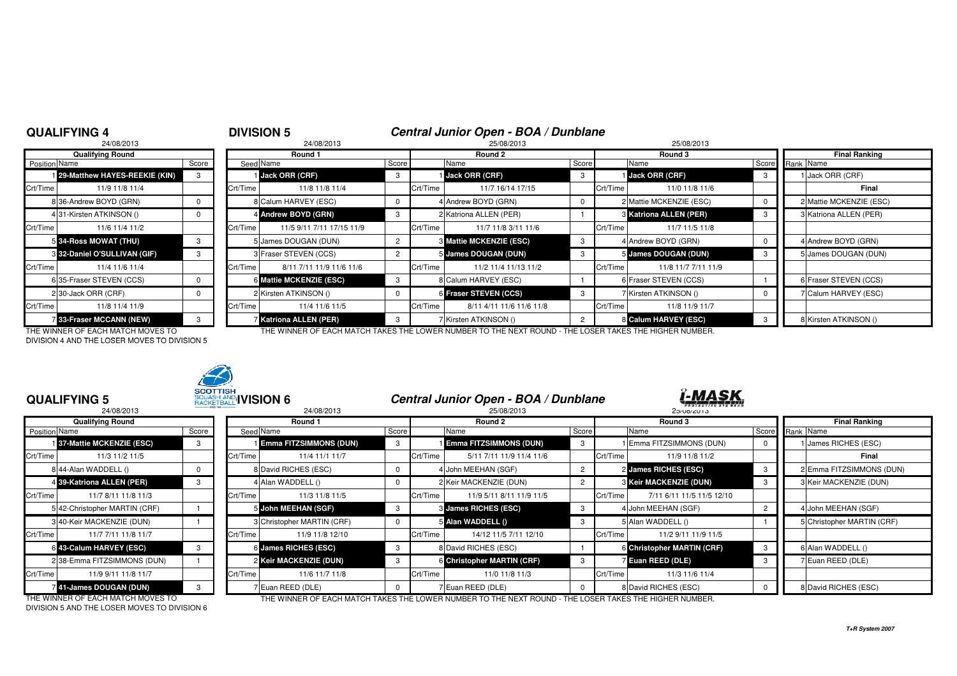# **QUALIFYING 4**

# <sup>4</sup> **DIVISION 5 Central Junior Open - BOA / Dunblane** <sup>8</sup> 24/08/2013 25/08/2013 25/08/2013

|                      | 24/08/2013                      |       |                |
|----------------------|---------------------------------|-------|----------------|
|                      | <b>Qualifying Round</b>         |       |                |
| <b>Position Name</b> |                                 | Score | Seed           |
|                      | 29-Matthew HAYES-REEKIE (KIN)   | 3     |                |
| Crt/Time             | 11/9 11/8 11/4                  |       | Crt/Time       |
|                      | 8 36-Andrew BOYD (GRN)          | 0     | 8              |
|                      | 4 31-Kirsten ATKINSON ()        | 0     | 4              |
| Crt/Time             | 11/6 11/4 11/2                  |       | Crt/Time       |
|                      | 5 34-Ross MOWAT (THU)           | 3     | 5              |
|                      | 8 32-Daniel O'SULLIVAN (GIF)    | 3     | 3              |
| Crt/Time             | 11/4 11/6 11/4                  |       | Crt/Time       |
|                      | 6 35-Fraser STEVEN (CCS)        | 0     | 6              |
|                      | 230-Jack ORR (CRF)              | 0     | $\overline{2}$ |
| Crt/Time             | 11/8 11/4 11/9                  |       | Crt/Time       |
|                      | <b>7 33-Fraser MCCANN (NEW)</b> | 3     | 7              |

|                      | <b>Qualifying Round</b>         |       | Round 1  |                               |       | Round 2  |                                | Round 3 |          |                               | <b>Final Ranking</b> |                         |
|----------------------|---------------------------------|-------|----------|-------------------------------|-------|----------|--------------------------------|---------|----------|-------------------------------|----------------------|-------------------------|
| <b>Position Name</b> |                                 | Score |          | Seed Name                     | Score |          | Name                           | Score   |          | Name                          |                      | Score Rank Name         |
|                      | 1 29-Matthew HAYES-REEKIE (KIN) |       |          | <b>Jack ORR (CRF)</b>         | -3    |          | 1 Jack ORR (CRF)               | 3       |          | <b>Jack ORR (CRF)</b>         | -3                   | 1 Jack ORR (CRF)        |
| Crt/Time             | 11/9 11/8 11/4                  |       | Crt/Time | 11/8 11/8 11/4                |       | Crt/Time | 11/7 16/14 17/15               |         | Crt/Time | 11/0 11/8 11/6                |                      | Final                   |
|                      | 8 36-Andrew BOYD (GRN)          |       |          | 8 Calum HARVEY (ESC)          |       |          | 4 Andrew BOYD (GRN)            |         |          | 2 Mattie MCKENZIE (ESC)       |                      | 2 Mattie MCKENZIE (ESC) |
|                      | 431-Kirsten ATKINSON ()         |       |          | 4 Andrew BOYD (GRN)           |       |          | 2 Katriona ALLEN (PER)         |         |          | <b>8 Katriona ALLEN (PER)</b> | -3                   | 3 Katriona ALLEN (PER)  |
| Crt/Time             | 11/6 11/4 11/2                  |       | Crt/Time | 11/5 9/11 7/11 17/15 11/9     |       | Crt/Time | 11/7 11/8 3/11 11/6            |         | Crt/Time | 11/7 11/5 11/8                |                      |                         |
|                      | 5 34-Ross MOWAT (THU)           |       |          | 5 James DOUGAN (DUN)          |       |          | <b>8 Mattie MCKENZIE (ESC)</b> |         |          | 4 Andrew BOYD (GRN)           |                      | 4 Andrew BOYD (GRN)     |
|                      | 3 32-Daniel O'SULLIVAN (GIF)    |       |          | 3 Fraser STEVEN (CCS)         |       |          | 5 James DOUGAN (DUN)           |         |          | 5 James DOUGAN (DUN)          |                      | 5 James DOUGAN (DUN)    |
| Crt/Time             | 11/4 11/6 11/4                  |       | Crt/Time | 8/11 7/11 11/9 11/6 11/6      |       | Crt/Time | 11/2 11/4 11/13 11/2           |         | Crt/Time | 11/8 11/7 7/11 11/9           |                      |                         |
|                      | 6 35-Fraser STEVEN (CCS)        |       |          | 6 Mattie MCKENZIE (ESC)       | -3    |          | 8 Calum HARVEY (ESC)           |         |          | 6 Fraser STEVEN (CCS)         |                      | 6 Fraser STEVEN (CCS)   |
|                      | 230-Jack ORR (CRF)              |       |          | 2 Kirsten ATKINSON ()         |       |          | 6 Fraser STEVEN (CCS)          | -3      |          | 7 Kirsten ATKINSON ()         |                      | 7 Calum HARVEY (ESC)    |
| Crt/Time             | 11/8 11/4 11/9                  |       | Crt/Time | 11/4 11/6 11/5                |       | Crt/Time | 8/11 4/11 11/6 11/6 11/8       |         | Crt/Time | 11/8 11/9 11/7                |                      |                         |
|                      | 33-Fraser MCCANN (NEW)          |       |          | <b>Z Katriona ALLEN (PER)</b> |       |          | 7 Kirsten ATKINSON ()          |         |          | 8 Calum HARVEY (ESC)          |                      | 8 Kirsten ATKINSON ()   |

THE WINNER OF EACH MATCH MOVES TO THE WINNER OF EACH MATCH TAKES THE LOWER NUMBER TO THE NEXT ROUND - THE LOSER TAKES THE HIGHER NUMBER.DIVISION 4 AND THE LOSER MOVES TO DIVISION 5



| <b>QUALIFYING 5</b><br>24/08/2013 |                               |       | <b>SCOTTISH</b><br>SQUASH AND <b>IVISION 6</b><br>24/08/2013 |                               |       |          | Central Junior Open - BOA / Dunblane<br>25/08/2013 |       |          | ï <u>-MASK</u><br>25/08/2013      |                      |                            |
|-----------------------------------|-------------------------------|-------|--------------------------------------------------------------|-------------------------------|-------|----------|----------------------------------------------------|-------|----------|-----------------------------------|----------------------|----------------------------|
|                                   | <b>Qualifying Round</b>       |       | Round 1                                                      |                               |       | Round 2  |                                                    |       |          | Round 3                           | <b>Final Ranking</b> |                            |
| Position Name                     |                               | Score |                                                              | Seed Name                     | Score |          | Name                                               | Score |          | Name                              | Score                | Rank Name                  |
|                                   | 37-Mattie MCKENZIE (ESC)      |       |                                                              | <b>Emma FITZSIMMONS (DUN)</b> | -3    |          | <b>Emma FITZSIMMONS (DUN)</b>                      |       |          | Emma FITZSIMMONS (DUN)            |                      | <b>James RICHES (ESC)</b>  |
| Crt/Time                          | 11/3 11/2 11/5                |       | Crt/Time                                                     | 11/4 11/1 11/7                |       | Crt/Time | 5/11 7/11 11/9 11/4 11/6                           |       | Crt/Time | 11/9 11/8 11/2                    |                      | Final                      |
|                                   | 8 44-Alan WADDELL ()          |       |                                                              | 8 David RICHES (ESC)          |       |          | 4 John MEEHAN (SGF)                                |       |          | 2 James RICHES (ESC)              | -3                   | 2 Emma FITZSIMMONS (DUN)   |
|                                   | 4 39-Katriona ALLEN (PER)     |       |                                                              | 4 Alan WADDELL ()             |       |          | 2 Keir MACKENZIE (DUN)                             |       |          | <b>8 Keir MACKENZIE (DUN)</b>     |                      | 3 Keir MACKENZIE (DUN)     |
| Crt/Time                          | 11/7 8/11 11/8 11/3           |       | Crt/Time                                                     | 11/3 11/8 11/5                |       | Crt/Time | 11/9 5/11 8/11 11/9 11/5                           |       | Crt/Time | 7/11 6/11 11/5 11/5 12/10         |                      |                            |
|                                   | 5 42-Christopher MARTIN (CRF) |       |                                                              | 5 John MEEHAN (SGF)           | -3    |          | <b>8 James RICHES (ESC)</b>                        |       |          | 4 John MEEHAN (SGF)               |                      | 4 John MEEHAN (SGF)        |
|                                   | 3 40-Keir MACKENZIE (DUN)     |       |                                                              | 3 Christopher MARTIN (CRF)    |       |          | 5 Alan WADDELL ()                                  | 3     |          | 5 Alan WADDELL ()                 |                      | 5 Christopher MARTIN (CRF) |
| Crt/Time                          | 11/7 7/11 11/8 11/7           |       | Crt/Time                                                     | 11/9 11/8 12/10               |       | Crt/Time | 14/12 11/5 7/11 12/10                              |       | Crt/Time | 11/2 9/11 11/9 11/5               |                      |                            |
|                                   | 6 43-Calum HARVEY (ESC)       |       |                                                              | 6 James RICHES (ESC)          | -3    |          | 8 David RICHES (ESC)                               |       |          | <b>6 Christopher MARTIN (CRF)</b> | - 3                  | 6 Alan WADDELL ()          |
|                                   | 2 38-Emma FITZSIMMONS (DUN)   |       |                                                              | 2 Keir MACKENZIE (DUN)        | 3     |          | 6 Christopher MARTIN (CRF)                         | 3     |          | <b>Z</b> Euan REED (DLE)          | -3                   | 7 Euan REED (DLE)          |
| Crt/Time                          | 11/9 9/11 11/8 11/7           |       | Crt/Time                                                     | 11/6 11/7 11/8                |       | Crt/Time | 11/0 11/8 11/3                                     |       | Crt/Time | 11/3 11/6 11/4                    |                      |                            |
|                                   | 41-James DOUGAN (DUN)         | 3     |                                                              | Fuan REED (DLE)               |       |          | Euan REED (DLE)                                    |       |          | 8 David RICHES (ESC)              |                      | 8 David RICHES (ESC)       |

DIVISION 5 AND THE LOSER MOVES TO DIVISION 6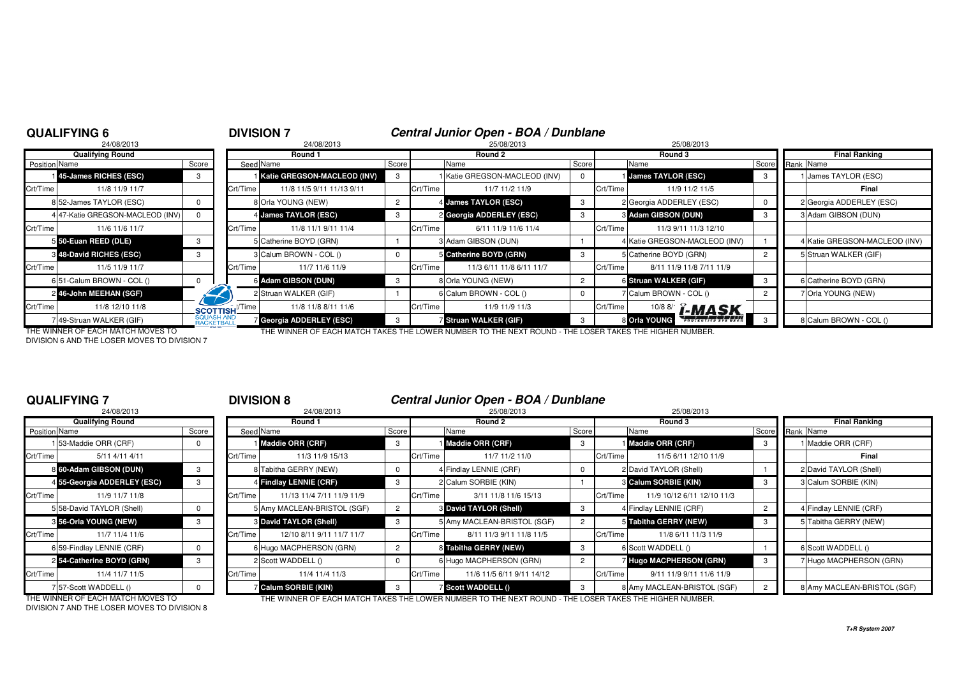|                      | <b>QUALIFYING 6</b>               |                          |                                 | <b>DIVISION 7</b>           |       |          | Central Junior Open - BOA / Dunblane                                                                  |       |          |                               |       |                               |
|----------------------|-----------------------------------|--------------------------|---------------------------------|-----------------------------|-------|----------|-------------------------------------------------------------------------------------------------------|-------|----------|-------------------------------|-------|-------------------------------|
|                      | 24/08/2013                        |                          |                                 | 24/08/2013                  |       |          | 25/08/2013                                                                                            |       |          | 25/08/2013                    |       |                               |
|                      | <b>Qualifying Round</b>           |                          |                                 | Round 1                     |       |          | Round 2                                                                                               |       |          | Round 3                       |       | <b>Final Ranking</b>          |
| <b>Position Name</b> |                                   | Score                    |                                 | Seed Name                   | Score |          | Name                                                                                                  | Score |          | Name                          | Score | Rank Name                     |
|                      | 45-James RICHES (ESC)             |                          |                                 | Katie GREGSON-MACLEOD (INV) |       |          | Katie GREGSON-MACLEOD (INV)                                                                           |       |          | <b>James TAYLOR (ESC)</b>     |       | James TAYLOR (ESC)            |
| Crt/Time             | 11/8 11/9 11/7                    |                          | Crt/Time                        | 11/8 11/5 9/11 11/13 9/11   |       | Crt/Time | 11/7 11/2 11/9                                                                                        |       | Crt/Time | 11/9 11/2 11/5                |       | Final                         |
|                      | 8 52-James TAYLOR (ESC)           |                          |                                 | 8 Orla YOUNG (NEW)          |       |          | 4 James TAYLOR (ESC)                                                                                  | 3     |          | 2 Georgia ADDERLEY (ESC)      |       | 2 Georgia ADDERLEY (ESC)      |
|                      | 47-Katie GREGSON-MACLEOD (INV)    |                          |                                 | 4 James TAYLOR (ESC)        |       |          | 2 Georgia ADDERLEY (ESC)                                                                              |       |          | 8 Adam GIBSON (DUN)           |       | 3 Adam GIBSON (DUN)           |
| Crt/Time             | 11/6 11/6 11/7                    |                          | Crt/Time                        | 11/8 11/1 9/11 11/4         |       | Crt/Time | 6/11 11/9 11/6 11/4                                                                                   |       | Crt/Time | 11/3 9/11 11/3 12/10          |       |                               |
|                      | 5 50-Euan REED (DLE)              | 3                        |                                 | 5 Catherine BOYD (GRN)      |       |          | 3 Adam GIBSON (DUN)                                                                                   |       |          | 4 Katie GREGSON-MACLEOD (INV) |       | 4 Katie GREGSON-MACLEOD (INV) |
|                      | <b>8 48-David RICHES (ESC)</b>    |                          |                                 | 3 Calum BROWN - COL ()      |       |          | Catherine BOYD (GRN)                                                                                  |       |          | 5 Catherine BOYD (GRN)        |       | 5 Struan WALKER (GIF)         |
| Crt/Time             | 11/5 11/9 11/7                    |                          | Crt/Time                        | 11/7 11/6 11/9              |       | Crt/Time | 11/3 6/11 11/8 6/11 11/7                                                                              |       | Crt/Time | 8/11 11/9 11/8 7/11 11/9      |       |                               |
|                      | 6 51-Calum BROWN - COL ()         |                          |                                 | 6 Adam GIBSON (DUN)         | 3     |          | 8 Orla YOUNG (NEW)                                                                                    |       |          | 6 Struan WALKER (GIF)         | 3     | 6 Catherine BOYD (GRN)        |
|                      | 2 46-John MEEHAN (SGF)            |                          |                                 | 2 Struan WALKER (GIF)       |       |          | 6 Calum BROWN - COL ()                                                                                |       |          | 7 Calum BROWN - COL ()        |       | 7 Orla YOUNG (NEW)            |
| Crt/Time             | 11/8 12/10 11/8                   |                          | <b>SCOTTISH</b> <sup>Time</sup> | 11/8 11/8 8/11 11/6         |       | Crt/Time | 11/9 11/9 11/3                                                                                        |       | Crt/Time | <b>10/8 8/1 [-MASK</b>        |       |                               |
|                      | 49-Struan WALKER (GIF)            | SQUASH AND<br>RACKETBALL |                                 | Georgia ADDERLEY (ESC)      |       |          | Struan WALKER (GIF)                                                                                   |       |          | 8 Orla YOUNG ।                |       | 8 Calum BROWN - COL ()        |
|                      | THE WINNED OF EACH MATCH MOVES TO |                          |                                 |                             |       |          | THE WINNER OF EACH MATCH TAKES THE LOWER NUMBER TO THE NEVT ROUND. THE LOSER TAKES THE HIGHER NUMBER. |       |          |                               |       |                               |

DIVISION 6 AND THE LOSER MOVES TO DIVISION 7

### THE WINNER OF EACH MATCH MOVES TO THE WINNER OF EACH MATCH TAKES THE LOWER NUMBER TO THE NEXT ROUND - THE LOSER TAKES THE HIGHER NUMBER.

# **QUALIFYING 7**

|                      | 24/08/2013                  |       |          |
|----------------------|-----------------------------|-------|----------|
|                      | <b>Qualifying Round</b>     |       |          |
| <b>Position Name</b> |                             | Score | Seed     |
|                      | 1 53-Maddie ORR (CRF)       | 0     |          |
| Crt/Time             | 5/11 4/11 4/11              |       | Crt/Time |
|                      | 8 60-Adam GIBSON (DUN)      | 3     | 8        |
|                      | 4 55-Georgia ADDERLEY (ESC) | 3     | 4        |
| Crt/Time             | 11/9 11/7 11/8              |       | Crt/Time |
|                      | 5 58-David TAYLOR (Shell)   | 0     | 5        |
|                      | 8 56-Orla YOUNG (NEW)       | 3     | 3        |
| Crt/Time             | 11/7 11/4 11/6              |       | Crt/Time |
|                      | 6 59-Findlay LENNIE (CRF)   | U     | 6        |
|                      | 254-Catherine BOYD (GRN)    | 3     | 2        |
| Crt/Time             | 11/4 11/7 11/5              |       | Crt/Time |
|                      | 7 57-Scott WADDELL ()       | ŋ     |          |

# <sup>7</sup> **DIVISION 8 Central Junior Open - BOA / Dunblane**

| 24/08/2013              |                                                                                                                                                                                                                                                                                        | 24/08/2013                |                                                                                                                                                                                                                                                                                    | 25/08/2013                |                                                                                                                                                                                                                                                |         | 25/08/2013                                            |                                                                                                                                                                                                                      |                             |
|-------------------------|----------------------------------------------------------------------------------------------------------------------------------------------------------------------------------------------------------------------------------------------------------------------------------------|---------------------------|------------------------------------------------------------------------------------------------------------------------------------------------------------------------------------------------------------------------------------------------------------------------------------|---------------------------|------------------------------------------------------------------------------------------------------------------------------------------------------------------------------------------------------------------------------------------------|---------|-------------------------------------------------------|----------------------------------------------------------------------------------------------------------------------------------------------------------------------------------------------------------------------|-----------------------------|
| <b>Qualifying Round</b> |                                                                                                                                                                                                                                                                                        | Round 1                   |                                                                                                                                                                                                                                                                                    | Round 2                   |                                                                                                                                                                                                                                                | Round 3 |                                                       |                                                                                                                                                                                                                      | <b>Final Ranking</b>        |
|                         | Score                                                                                                                                                                                                                                                                                  |                           | Score                                                                                                                                                                                                                                                                              | Name                      |                                                                                                                                                                                                                                                |         |                                                       |                                                                                                                                                                                                                      | Score Rank Name             |
|                         |                                                                                                                                                                                                                                                                                        |                           | 3                                                                                                                                                                                                                                                                                  |                           | 3                                                                                                                                                                                                                                              |         |                                                       | - 3                                                                                                                                                                                                                  | I Maddie ORR (CRF)          |
| 5/11 4/11 4/11          |                                                                                                                                                                                                                                                                                        | 11/3 11/9 15/13           |                                                                                                                                                                                                                                                                                    | 11/7 11/2 11/0            |                                                                                                                                                                                                                                                |         | 11/5 6/11 12/10 11/9                                  |                                                                                                                                                                                                                      | Final                       |
|                         |                                                                                                                                                                                                                                                                                        |                           |                                                                                                                                                                                                                                                                                    |                           | 0                                                                                                                                                                                                                                              |         |                                                       |                                                                                                                                                                                                                      | 2 David TAYLOR (Shell)      |
|                         |                                                                                                                                                                                                                                                                                        |                           |                                                                                                                                                                                                                                                                                    |                           |                                                                                                                                                                                                                                                |         |                                                       | - 3                                                                                                                                                                                                                  | 3 Calum SORBIE (KIN)        |
| 11/9 11/7 11/8          |                                                                                                                                                                                                                                                                                        | 11/13 11/4 7/11 11/9 11/9 |                                                                                                                                                                                                                                                                                    | 3/11 11/8 11/6 15/13      |                                                                                                                                                                                                                                                |         | 11/9 10/12 6/11 12/10 11/3                            |                                                                                                                                                                                                                      |                             |
|                         |                                                                                                                                                                                                                                                                                        |                           | $\overline{2}$                                                                                                                                                                                                                                                                     |                           | 3                                                                                                                                                                                                                                              |         |                                                       |                                                                                                                                                                                                                      | 4 Findlay LENNIE (CRF)      |
|                         |                                                                                                                                                                                                                                                                                        |                           | 3                                                                                                                                                                                                                                                                                  |                           | $\overline{2}$                                                                                                                                                                                                                                 |         |                                                       | 3                                                                                                                                                                                                                    | 5 Tabitha GERRY (NEW)       |
| 11/7 11/4 11/6          |                                                                                                                                                                                                                                                                                        | 12/10 8/11 9/11 11/7 11/7 |                                                                                                                                                                                                                                                                                    | 8/11 11/3 9/11 11/8 11/5  |                                                                                                                                                                                                                                                |         | 11/8 6/11 11/3 11/9                                   |                                                                                                                                                                                                                      |                             |
|                         |                                                                                                                                                                                                                                                                                        |                           |                                                                                                                                                                                                                                                                                    |                           | -3                                                                                                                                                                                                                                             |         |                                                       |                                                                                                                                                                                                                      | 6 Scott WADDELL ()          |
|                         |                                                                                                                                                                                                                                                                                        |                           |                                                                                                                                                                                                                                                                                    |                           |                                                                                                                                                                                                                                                |         |                                                       |                                                                                                                                                                                                                      | 7 Hugo MACPHERSON (GRN)     |
| 11/4 11/7 11/5          |                                                                                                                                                                                                                                                                                        | 11/4 11/4 11/3            |                                                                                                                                                                                                                                                                                    | 11/6 11/5 6/11 9/11 14/12 |                                                                                                                                                                                                                                                |         | 9/11 11/9 9/11 11/6 11/9                              |                                                                                                                                                                                                                      |                             |
|                         |                                                                                                                                                                                                                                                                                        |                           |                                                                                                                                                                                                                                                                                    |                           |                                                                                                                                                                                                                                                |         |                                                       |                                                                                                                                                                                                                      | 8 Amy MACLEAN-BRISTOL (SGF) |
|                         | Position Name<br>153-Maddie ORR (CRF)<br>Crt/Time<br>8 60-Adam GIBSON (DUN)<br>4 55-Georgia ADDERLEY (ESC)<br>Crt/Time<br>5 58-David TAYLOR (Shell)<br>3 56-Orla YOUNG (NEW)<br>Crt/Time<br>6 59-Findlay LENNIE (CRF)<br>2 54-Catherine BOYD (GRN)<br>Crt/Time<br>757-Scott WADDELL () |                           | Seed Name<br>I Maddie ORR (CRF)<br>Crt/Time<br>8 Tabitha GERRY (NEW)<br>4 Findlay LENNIE (CRF)<br>Crt/Time<br>5 Amy MACLEAN-BRISTOL (SGF)<br><b>3 David TAYLOR (Shell)</b><br>Crt/Time<br>6 Hugo MACPHERSON (GRN)<br>2 Scott WADDELL ()<br>Crt/Time<br><b>Z</b> Calum SORBIE (KIN) | Crt/Time                  | Maddie ORR (CRF)<br>Crt/Time<br>4 Findlay LENNIE (CRF)<br>2 Calum SORBIE (KIN)<br><b>3 David TAYLOR (Shell)</b><br>5 Amy MACLEAN-BRISTOL (SGF)<br>Crt/Time<br>8 Tabitha GERRY (NEW)<br>6 Hugo MACPHERSON (GRN)<br>Crt/Time<br>Scott WADDELL () |         | Score<br>Crt/Time<br>Crt/Time<br>Crt/Time<br>Crt/Time | Name<br>Maddie ORR (CRF)<br>2 David TAYLOR (Shell)<br><b>8 Calum SORBIE (KIN)</b><br>4 Findlay LENNIE (CRF)<br>5 Tabitha GERRY (NEW)<br>6 Scott WADDELL ()<br>7 Hugo MACPHERSON (GRN)<br>8 Amy MACLEAN-BRISTOL (SGF) |                             |

DIVISION 7 AND THE LOSER MOVES TO DIVISION 8